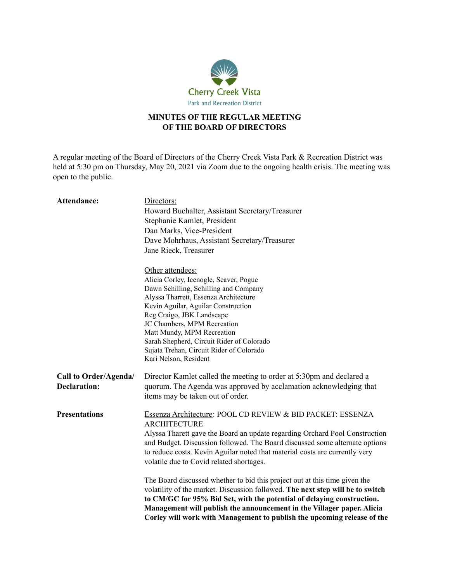

## **MINUTES OF THE REGULAR MEETING OF THE BOARD OF DIRECTORS**

A regular meeting of the Board of Directors of the Cherry Creek Vista Park & Recreation District was held at 5:30 pm on Thursday, May 20, 2021 via Zoom due to the ongoing health crisis. The meeting was open to the public.

| Attendance:                                  | Directors:                                                                                                                                                                                                                                                                                                                                                                                  |
|----------------------------------------------|---------------------------------------------------------------------------------------------------------------------------------------------------------------------------------------------------------------------------------------------------------------------------------------------------------------------------------------------------------------------------------------------|
|                                              | Howard Buchalter, Assistant Secretary/Treasurer                                                                                                                                                                                                                                                                                                                                             |
|                                              | Stephanie Kamlet, President                                                                                                                                                                                                                                                                                                                                                                 |
|                                              | Dan Marks, Vice-President                                                                                                                                                                                                                                                                                                                                                                   |
|                                              | Dave Mohrhaus, Assistant Secretary/Treasurer                                                                                                                                                                                                                                                                                                                                                |
|                                              | Jane Rieck, Treasurer                                                                                                                                                                                                                                                                                                                                                                       |
|                                              | Other attendees:                                                                                                                                                                                                                                                                                                                                                                            |
|                                              | Alicia Corley, Icenogle, Seaver, Pogue                                                                                                                                                                                                                                                                                                                                                      |
|                                              | Dawn Schilling, Schilling and Company                                                                                                                                                                                                                                                                                                                                                       |
|                                              | Alyssa Tharrett, Essenza Architecture                                                                                                                                                                                                                                                                                                                                                       |
|                                              | Kevin Aguilar, Aguilar Construction                                                                                                                                                                                                                                                                                                                                                         |
|                                              | Reg Craigo, JBK Landscape                                                                                                                                                                                                                                                                                                                                                                   |
|                                              | JC Chambers, MPM Recreation                                                                                                                                                                                                                                                                                                                                                                 |
|                                              | Matt Mundy, MPM Recreation<br>Sarah Shepherd, Circuit Rider of Colorado                                                                                                                                                                                                                                                                                                                     |
|                                              | Sujata Trehan, Circuit Rider of Colorado                                                                                                                                                                                                                                                                                                                                                    |
|                                              | Kari Nelson, Resident                                                                                                                                                                                                                                                                                                                                                                       |
| Call to Order/Agenda/<br><b>Declaration:</b> | Director Kamlet called the meeting to order at 5:30pm and declared a<br>quorum. The Agenda was approved by acclamation acknowledging that<br>items may be taken out of order.                                                                                                                                                                                                               |
| <b>Presentations</b>                         | Essenza Architecture: POOL CD REVIEW & BID PACKET: ESSENZA<br><b>ARCHITECTURE</b>                                                                                                                                                                                                                                                                                                           |
|                                              | Alyssa Tharett gave the Board an update regarding Orchard Pool Construction<br>and Budget. Discussion followed. The Board discussed some alternate options<br>to reduce costs. Kevin Aguilar noted that material costs are currently very<br>volatile due to Covid related shortages.                                                                                                       |
|                                              | The Board discussed whether to bid this project out at this time given the<br>volatility of the market. Discussion followed. The next step will be to switch<br>to CM/GC for 95% Bid Set, with the potential of delaying construction.<br>Management will publish the announcement in the Villager paper. Alicia<br>Corley will work with Management to publish the upcoming release of the |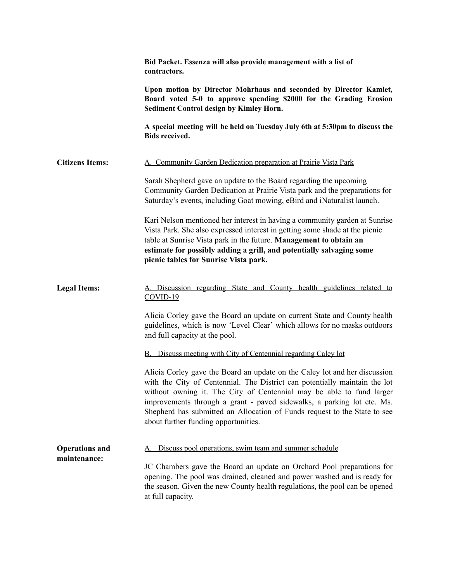|                                       | Bid Packet. Essenza will also provide management with a list of<br>contractors.                                                                                                                                                                                                                                                                                                                                                 |
|---------------------------------------|---------------------------------------------------------------------------------------------------------------------------------------------------------------------------------------------------------------------------------------------------------------------------------------------------------------------------------------------------------------------------------------------------------------------------------|
|                                       | Upon motion by Director Mohrhaus and seconded by Director Kamlet,<br>Board voted 5-0 to approve spending \$2000 for the Grading Erosion<br>Sediment Control design by Kimley Horn.                                                                                                                                                                                                                                              |
|                                       | A special meeting will be held on Tuesday July 6th at 5:30pm to discuss the<br><b>Bids received.</b>                                                                                                                                                                                                                                                                                                                            |
| <b>Citizens Items:</b>                | A. Community Garden Dedication preparation at Prairie Vista Park                                                                                                                                                                                                                                                                                                                                                                |
|                                       | Sarah Shepherd gave an update to the Board regarding the upcoming<br>Community Garden Dedication at Prairie Vista park and the preparations for<br>Saturday's events, including Goat mowing, eBird and iNaturalist launch.                                                                                                                                                                                                      |
|                                       | Kari Nelson mentioned her interest in having a community garden at Sunrise<br>Vista Park. She also expressed interest in getting some shade at the picnic<br>table at Sunrise Vista park in the future. Management to obtain an<br>estimate for possibly adding a grill, and potentially salvaging some<br>picnic tables for Sunrise Vista park.                                                                                |
| <b>Legal Items:</b>                   | A. Discussion regarding State and County health guidelines related to<br>$COVID-19$                                                                                                                                                                                                                                                                                                                                             |
|                                       | Alicia Corley gave the Board an update on current State and County health<br>guidelines, which is now 'Level Clear' which allows for no masks outdoors<br>and full capacity at the pool.                                                                                                                                                                                                                                        |
|                                       | <b>B.</b> Discuss meeting with City of Centennial regarding Caley lot                                                                                                                                                                                                                                                                                                                                                           |
|                                       | Alicia Corley gave the Board an update on the Caley lot and her discussion<br>with the City of Centennial. The District can potentially maintain the lot<br>without owning it. The City of Centennial may be able to fund larger<br>improvements through a grant - paved sidewalks, a parking lot etc. Ms.<br>Shepherd has submitted an Allocation of Funds request to the State to see<br>about further funding opportunities. |
| <b>Operations and</b><br>maintenance: | Discuss pool operations, swim team and summer schedule                                                                                                                                                                                                                                                                                                                                                                          |
|                                       | JC Chambers gave the Board an update on Orchard Pool preparations for<br>opening. The pool was drained, cleaned and power washed and is ready for<br>the season. Given the new County health regulations, the pool can be opened<br>at full capacity.                                                                                                                                                                           |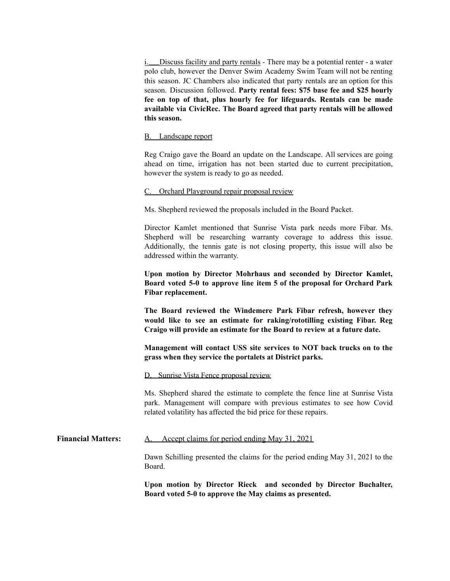i. Discuss facility and party rentals - There may be a potential renter - a water polo club, however the Denver Swim Academy Swim Team will not be renting this season. JC Chambers also indicated that party rentals are an option for this season. Discussion followed. **Party rental fees: \$75 base fee and \$25 hourly fee on top of that, plus hourly fee for lifeguards. Rentals can be made available via CivicRec. The Board agreed that party rentals will be allowed this season.**

## B. Landscape report

Reg Craigo gave the Board an update on the Landscape. All services are going ahead on time, irrigation has not been started due to current precipitation, however the system is ready to go as needed.

## C. Orchard Playground repair proposal review

Ms. Shepherd reviewed the proposals included in the Board Packet.

Director Kamlet mentioned that Sunrise Vista park needs more Fibar. Ms. Shepherd will be researching warranty coverage to address this issue. Additionally, the tennis gate is not closing property, this issue will also be addressed within the warranty.

**Upon motion by Director Mohrhaus and seconded by Director Kamlet, Board voted 5-0 to approve line item 5 of the proposal for Orchard Park Fibar replacement.**

**The Board reviewed the Windemere Park Fibar refresh, however they would like to see an estimate for raking/rototilling existing Fibar. Reg Craigo will provide an estimate for the Board to review at a future date.**

**Management will contact USS site services to NOT back trucks on to the grass when they service the portalets at District parks.**

D. Sunrise Vista Fence proposal review

Ms. Shepherd shared the estimate to complete the fence line at Sunrise Vista park. Management will compare with previous estimates to see how Covid related volatility has affected the bid price for these repairs.

## **Financial Matters:** A. Accept claims for period ending May 31, 2021

Dawn Schilling presented the claims for the period ending May 31, 2021 to the Board.

**Upon motion by Director Rieck and seconded by Director Buchalter, Board voted 5-0 to approve the May claims as presented.**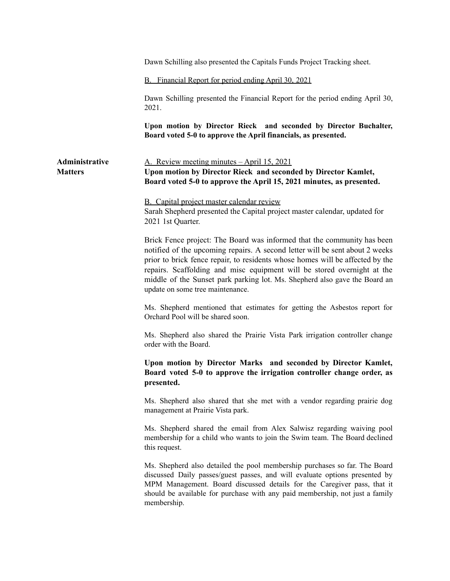|                                  | Dawn Schilling also presented the Capitals Funds Project Tracking sheet.                                                                                                                                                                                                                                                                                                                                                              |
|----------------------------------|---------------------------------------------------------------------------------------------------------------------------------------------------------------------------------------------------------------------------------------------------------------------------------------------------------------------------------------------------------------------------------------------------------------------------------------|
|                                  | B. Financial Report for period ending April 30, 2021                                                                                                                                                                                                                                                                                                                                                                                  |
|                                  | Dawn Schilling presented the Financial Report for the period ending April 30,<br>2021.                                                                                                                                                                                                                                                                                                                                                |
|                                  | Upon motion by Director Rieck and seconded by Director Buchalter,<br>Board voted 5-0 to approve the April financials, as presented.                                                                                                                                                                                                                                                                                                   |
| Administrative<br><b>Matters</b> | A. Review meeting minutes - April 15, 2021<br>Upon motion by Director Rieck and seconded by Director Kamlet,<br>Board voted 5-0 to approve the April 15, 2021 minutes, as presented.                                                                                                                                                                                                                                                  |
|                                  | <b>B.</b> Capital project master calendar review<br>Sarah Shepherd presented the Capital project master calendar, updated for<br>2021 1st Quarter.                                                                                                                                                                                                                                                                                    |
|                                  | Brick Fence project: The Board was informed that the community has been<br>notified of the upcoming repairs. A second letter will be sent about 2 weeks<br>prior to brick fence repair, to residents whose homes will be affected by the<br>repairs. Scaffolding and misc equipment will be stored overnight at the<br>middle of the Sunset park parking lot. Ms. Shepherd also gave the Board an<br>update on some tree maintenance. |
|                                  | Ms. Shepherd mentioned that estimates for getting the Asbestos report for<br>Orchard Pool will be shared soon.                                                                                                                                                                                                                                                                                                                        |
|                                  | Ms. Shepherd also shared the Prairie Vista Park irrigation controller change<br>order with the Board.                                                                                                                                                                                                                                                                                                                                 |
|                                  | Upon motion by Director Marks and seconded by Director Kamlet,<br>Board voted 5-0 to approve the irrigation controller change order, as<br>presented.                                                                                                                                                                                                                                                                                 |
|                                  | Ms. Shepherd also shared that she met with a vendor regarding prairie dog<br>management at Prairie Vista park.                                                                                                                                                                                                                                                                                                                        |
|                                  | Ms. Shepherd shared the email from Alex Salwisz regarding waiving pool<br>membership for a child who wants to join the Swim team. The Board declined<br>this request.                                                                                                                                                                                                                                                                 |
|                                  | Ms. Shepherd also detailed the pool membership purchases so far. The Board<br>discussed Daily passes/guest passes, and will evaluate options presented by<br>MPM Management. Board discussed details for the Caregiver pass, that it<br>should be available for purchase with any paid membership, not just a family<br>membership.                                                                                                   |
|                                  |                                                                                                                                                                                                                                                                                                                                                                                                                                       |